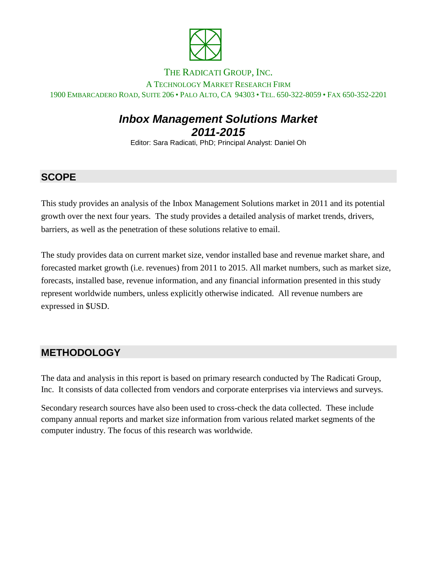

#### THE RADICATI GROUP, INC.

A TECHNOLOGY MARKET RESEARCH FIRM 1900 EMBARCADERO ROAD, SUITE 206 • PALO ALTO, CA 94303 • TEL. 650-322-8059 • FAX 650-352-2201

# *Inbox Management Solutions Market 2011-2015*

Editor: Sara Radicati, PhD; Principal Analyst: Daniel Oh

### **SCOPE**

This study provides an analysis of the Inbox Management Solutions market in 2011 and its potential growth over the next four years. The study provides a detailed analysis of market trends, drivers, barriers, as well as the penetration of these solutions relative to email.

The study provides data on current market size, vendor installed base and revenue market share, and forecasted market growth (i.e. revenues) from 2011 to 2015. All market numbers, such as market size, forecasts, installed base, revenue information, and any financial information presented in this study represent worldwide numbers, unless explicitly otherwise indicated. All revenue numbers are expressed in \$USD.

#### **METHODOLOGY**

The data and analysis in this report is based on primary research conducted by The Radicati Group, Inc. It consists of data collected from vendors and corporate enterprises via interviews and surveys.

Secondary research sources have also been used to cross-check the data collected. These include company annual reports and market size information from various related market segments of the computer industry. The focus of this research was worldwide.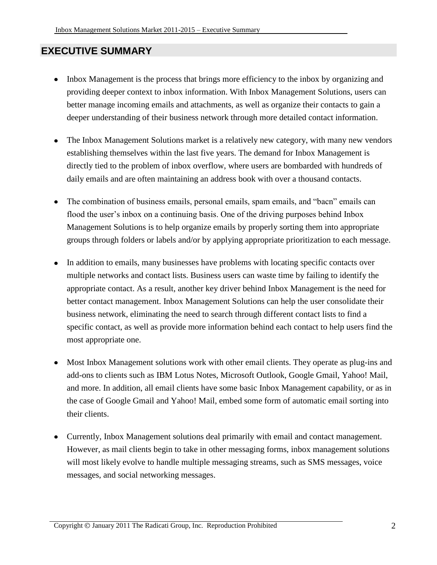### **EXECUTIVE SUMMARY**

- Inbox Management is the process that brings more efficiency to the inbox by organizing and  $\bullet$ providing deeper context to inbox information. With Inbox Management Solutions, users can better manage incoming emails and attachments, as well as organize their contacts to gain a deeper understanding of their business network through more detailed contact information.
- The Inbox Management Solutions market is a relatively new category, with many new vendors establishing themselves within the last five years. The demand for Inbox Management is directly tied to the problem of inbox overflow, where users are bombarded with hundreds of daily emails and are often maintaining an address book with over a thousand contacts.
- The combination of business emails, personal emails, spam emails, and "bacn" emails can flood the user's inbox on a continuing basis. One of the driving purposes behind Inbox Management Solutions is to help organize emails by properly sorting them into appropriate groups through folders or labels and/or by applying appropriate prioritization to each message.
- In addition to emails, many businesses have problems with locating specific contacts over multiple networks and contact lists. Business users can waste time by failing to identify the appropriate contact. As a result, another key driver behind Inbox Management is the need for better contact management. Inbox Management Solutions can help the user consolidate their business network, eliminating the need to search through different contact lists to find a specific contact, as well as provide more information behind each contact to help users find the most appropriate one.
- $\bullet$ Most Inbox Management solutions work with other email clients. They operate as plug-ins and add-ons to clients such as IBM Lotus Notes, Microsoft Outlook, Google Gmail, Yahoo! Mail, and more. In addition, all email clients have some basic Inbox Management capability, or as in the case of Google Gmail and Yahoo! Mail, embed some form of automatic email sorting into their clients.
- Currently, Inbox Management solutions deal primarily with email and contact management. However, as mail clients begin to take in other messaging forms, inbox management solutions will most likely evolve to handle multiple messaging streams, such as SMS messages, voice messages, and social networking messages.